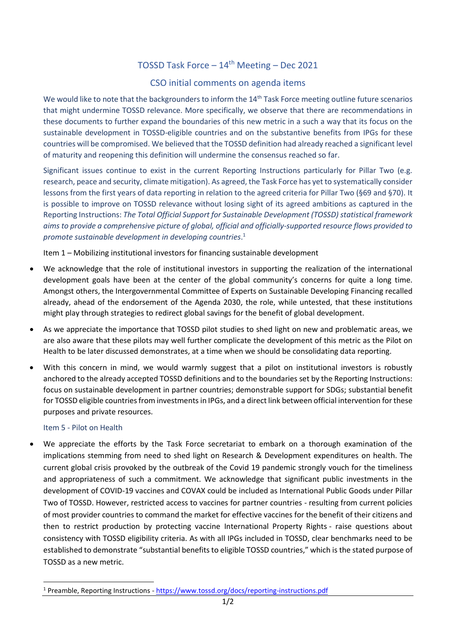## TOSSD Task Force  $-14^{th}$  Meeting – Dec 2021

## CSO initial comments on agenda items

We would like to note that the backgrounders to inform the 14<sup>th</sup> Task Force meeting outline future scenarios that might undermine TOSSD relevance. More specifically, we observe that there are recommendations in these documents to further expand the boundaries of this new metric in a such a way that its focus on the sustainable development in TOSSD-eligible countries and on the substantive benefits from IPGs for these countries will be compromised. We believed that the TOSSD definition had already reached a significant level of maturity and reopening this definition will undermine the consensus reached so far.

Significant issues continue to exist in the current Reporting Instructions particularly for Pillar Two (e.g. research, peace and security, climate mitigation). As agreed, the Task Force has yet to systematically consider lessons from the first years of data reporting in relation to the agreed criteria for Pillar Two (§69 and §70). It is possible to improve on TOSSD relevance without losing sight of its agreed ambitions as captured in the Reporting Instructions: *The Total Official Support for Sustainable Development (TOSSD) statistical framework aims to provide a comprehensive picture of global, official and officially-supported resource flows provided to promote sustainable development in developing countries*. 1

Item 1 – Mobilizing institutional investors for financing sustainable development

- We acknowledge that the role of institutional investors in supporting the realization of the international development goals have been at the center of the global community's concerns for quite a long time. Amongst others, the Intergovernmental Committee of Experts on Sustainable Developing Financing recalled already, ahead of the endorsement of the Agenda 2030, the role, while untested, that these institutions might play through strategies to redirect global savings for the benefit of global development.
- As we appreciate the importance that TOSSD pilot studies to shed light on new and problematic areas, we are also aware that these pilots may well further complicate the development of this metric as the Pilot on Health to be later discussed demonstrates, at a time when we should be consolidating data reporting.
- With this concern in mind, we would warmly suggest that a pilot on institutional investors is robustly anchored to the already accepted TOSSD definitions and to the boundaries set by the Reporting Instructions: focus on sustainable development in partner countries; demonstrable support for SDGs; substantial benefit for TOSSD eligible countries from investments in IPGs, and a direct link between official intervention for these purposes and private resources.

## Item 5 - Pilot on Health

• We appreciate the efforts by the Task Force secretariat to embark on a thorough examination of the implications stemming from need to shed light on Research & Development expenditures on health. The current global crisis provoked by the outbreak of the Covid 19 pandemic strongly vouch for the timeliness and appropriateness of such a commitment. We acknowledge that significant public investments in the development of COVID-19 vaccines and COVAX could be included as International Public Goods under Pillar Two of TOSSD. However, restricted access to vaccines for partner countries - resulting from current policies of most provider countries to command the market for effective vaccines for the benefit of their citizens and then to restrict production by protecting vaccine International Property Rights - raise questions about consistency with TOSSD eligibility criteria. As with all IPGs included in TOSSD, clear benchmarks need to be established to demonstrate "substantial benefits to eligible TOSSD countries," which is the stated purpose of TOSSD as a new metric.

<sup>1</sup> Preamble, Reporting Instructions - <https://www.tossd.org/docs/reporting-instructions.pdf>